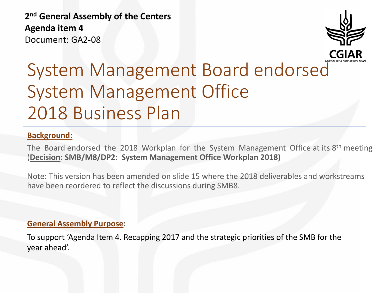**2 nd General Assembly of the Centers Agenda item 4** Document: GA2-08



## System Management Board endorsed System Management Office 2018 Business Plan

#### **Background:**

The Board endorsed the 2018 Workplan for the System Management Office at its  $8<sup>th</sup>$  meeting (**Decision: SMB/M8/DP2: System Management Office Workplan 2018)**

Note: This version has been amended on slide 15 where the 2018 deliverables and workstreams have been reordered to reflect the discussions during SMB8.

#### **General Assembly Purpose**:

To support 'Agenda Item 4. Recapping 2017 and the strategic priorities of the SMB for the year ahead'.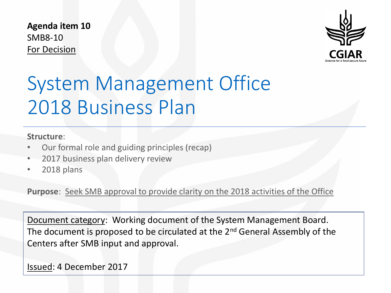**Agenda item 10** SMB8-10 For Decision



# System Management Office 2018 Business Plan

#### **Structure**:

- Our formal role and guiding principles (recap)
- 2017 business plan delivery review
- 2018 plans

**Purpose**: Seek SMB approval to provide clarity on the 2018 activities of the Office

Document category: Working document of the System Management Board. The document is proposed to be circulated at the 2<sup>nd</sup> General Assembly of the Centers after SMB input and approval.

Issued: 4 December 2017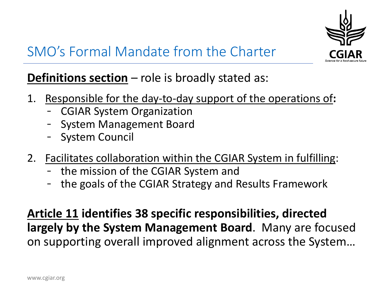

### SMO's Formal Mandate from the Charter

### **Definitions section** – role is broadly stated as:

- 1. Responsible for the day-to-day support of the operations of**:**
	- CGIAR System Organization
	- System Management Board
	- System Council
- 2. Facilitates collaboration within the CGIAR System in fulfilling:
	- the mission of the CGIAR System and
	- the goals of the CGIAR Strategy and Results Framework

**Article 11 identifies 38 specific responsibilities, directed largely by the System Management Board**. Many are focused on supporting overall improved alignment across the System…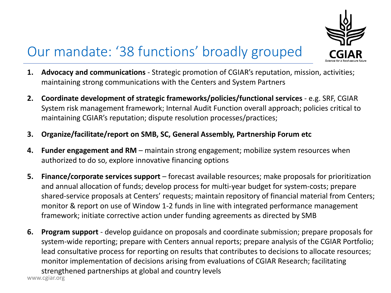

### Our mandate: '38 functions' broadly grouped

- **1. Advocacy and communications** Strategic promotion of CGIAR's reputation, mission, activities; maintaining strong communications with the Centers and System Partners
- **2. Coordinate development of strategic frameworks/policies/functional services**  e.g. SRF, CGIAR System risk management framework; Internal Audit Function overall approach; policies critical to maintaining CGIAR's reputation; dispute resolution processes/practices;
- **3. Organize/facilitate/report on SMB, SC, General Assembly, Partnership Forum etc**
- **4. Funder engagement and RM** maintain strong engagement; mobilize system resources when authorized to do so, explore innovative financing options
- **5. Finance/corporate services support** forecast available resources; make proposals for prioritization and annual allocation of funds; develop process for multi-year budget for system-costs; prepare shared-service proposals at Centers' requests; maintain repository of financial material from Centers; monitor & report on use of Window 1-2 funds in line with integrated performance management framework; initiate corrective action under funding agreements as directed by SMB
- www.cgiar.org **6. Program support** - develop guidance on proposals and coordinate submission; prepare proposals for system-wide reporting; prepare with Centers annual reports; prepare analysis of the CGIAR Portfolio; lead consultative process for reporting on results that contributes to decisions to allocate resources; monitor implementation of decisions arising from evaluations of CGIAR Research; facilitating strengthened partnerships at global and country levels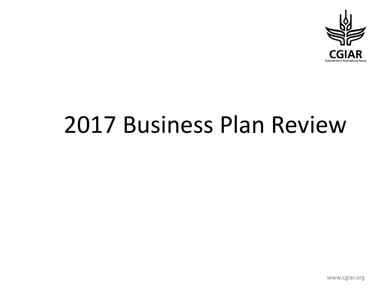

# 2017 Business Plan Review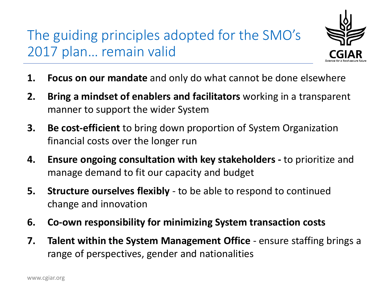## The guiding principles adopted for the SMO's 2017 plan… remain valid



- **1. Focus on our mandate** and only do what cannot be done elsewhere
- **2. Bring a mindset of enablers and facilitators** working in a transparent manner to support the wider System
- **3. Be cost-efficient** to bring down proportion of System Organization financial costs over the longer run
- **4. Ensure ongoing consultation with key stakeholders -** to prioritize and manage demand to fit our capacity and budget
- **5. Structure ourselves flexibly**  to be able to respond to continued change and innovation
- **6. Co-own responsibility for minimizing System transaction costs**
- **7. Talent within the System Management Office**  ensure staffing brings a range of perspectives, gender and nationalities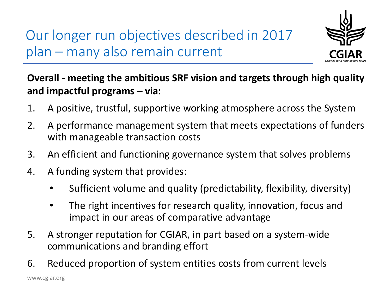Our longer run objectives described in 2017 plan – many also remain current



### **Overall - meeting the ambitious SRF vision and targets through high quality and impactful programs – via:**

- 1. A positive, trustful, supportive working atmosphere across the System
- 2. A performance management system that meets expectations of funders with manageable transaction costs
- 3. An efficient and functioning governance system that solves problems
- 4. A funding system that provides:
	- Sufficient volume and quality (predictability, flexibility, diversity)
	- The right incentives for research quality, innovation, focus and impact in our areas of comparative advantage
- 5. A stronger reputation for CGIAR, in part based on a system-wide communications and branding effort
- 6. Reduced proportion of system entities costs from current levels

www.cgiar.org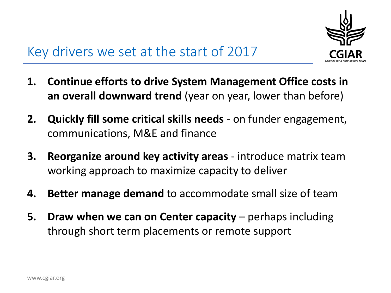

### Key drivers we set at the start of 2017

- **1. Continue efforts to drive System Management Office costs in an overall downward trend** (year on year, lower than before)
- **2. Quickly fill some critical skills needs** on funder engagement, communications, M&E and finance
- **3. Reorganize around key activity areas**  introduce matrix team working approach to maximize capacity to deliver
- **4. Better manage demand** to accommodate small size of team
- **5. Draw when we can on Center capacity** perhaps including through short term placements or remote support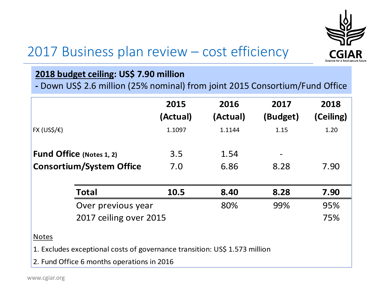

### 2017 Business plan review – cost efficiency

#### **2018 budget ceiling: US\$ 7.90 million**

**-** Down US\$ 2.6 million (25% nominal) from joint 2015 Consortium/Fund Office

|                                 |                    | 2015     | 2016     | 2017     | 2018      |
|---------------------------------|--------------------|----------|----------|----------|-----------|
|                                 |                    | (Actual) | (Actual) | (Budget) | (Ceiling) |
| FX (US\$/€)                     |                    | 1.1097   | 1.1144   | 1.15     | 1.20      |
|                                 |                    |          |          |          |           |
| Fund Office (Notes 1, 2)        |                    | 3.5      | 1.54     |          |           |
| <b>Consortium/System Office</b> |                    | 7.0      | 6.86     | 8.28     | 7.90      |
|                                 |                    |          |          |          |           |
|                                 | <b>Total</b>       | 10.5     | 8.40     | 8.28     | 7.90      |
|                                 | Over previous year |          | 80%      | 99%      | 95%       |
| 2017 ceiling over 2015          |                    |          |          |          | 75%       |
| $N$ $\alpha$ toc                |                    |          |          |          |           |

Notes

1. Excludes exceptional costs of governance transition: US\$ 1.573 million

2. Fund Office 6 months operations in 2016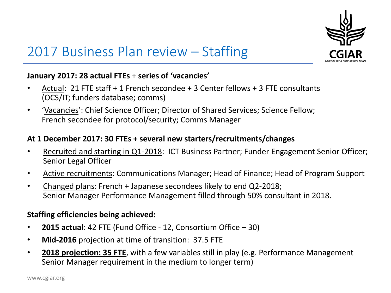

### 2017 Business Plan review – Staffing

#### **January 2017: 28 actual FTEs** + **series of 'vacancies'**

- Actual: 21 FTE staff + 1 French secondee + 3 Center fellows + 3 FTE consultants (OCS/IT; funders database; comms)
- 'Vacancies': Chief Science Officer; Director of Shared Services; Science Fellow; French secondee for protocol/security; Comms Manager

#### **At 1 December 2017: 30 FTEs + several new starters/recruitments/changes**

- Recruited and starting in Q1-2018: ICT Business Partner; Funder Engagement Senior Officer; Senior Legal Officer
- Active recruitments: Communications Manager; Head of Finance; Head of Program Support
- Changed plans: French + Japanese secondees likely to end Q2-2018; Senior Manager Performance Management filled through 50% consultant in 2018.

#### **Staffing efficiencies being achieved:**

- **2015 actual**: 42 FTE (Fund Office 12, Consortium Office 30)
- **Mid-2016** projection at time of transition: 37.5 FTE
- **2018 projection: 35 FTE**, with a few variables still in play (e.g. Performance Management Senior Manager requirement in the medium to longer term)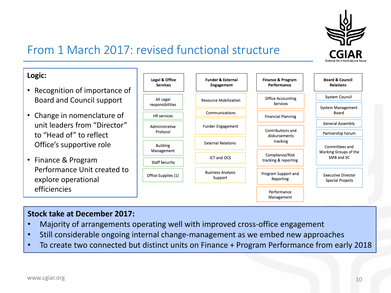

### From 1 March 2017: revised functional structure

#### **Logic:**

- Recognition of importance of Board and Council support
- Change in nomenclature of unit leaders from "Director" to "Head of" to reflect Office's supportive role
- Finance & Program Performance Unit created to explore operational efficiencies



#### **Stock take at December 2017:**

- Majority of arrangements operating well with improved cross-office engagement
- Still considerable ongoing internal change-management as we embed new approaches
- To create two connected but distinct units on Finance + Program Performance from early 2018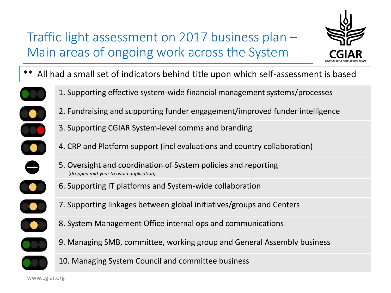### Traffic light assessment on 2017 business plan – Main areas of ongoing work across the System



\*\* All had a small set of indicators behind title upon which self-assessment is based



U

 $\bullet$ 

 $\bullet$ 

- 1. Supporting effective system-wide financial management systems/processes
- 2. Fundraising and supporting funder engagement/improved funder intelligence
- 3. Supporting CGIAR System-level comms and branding
- 4. CRP and Platform support (incl evaluations and country collaboration)
- 5. Oversight and coordination of System policies and reporting (*dropped mid-year to avoid duplication)*
- 6. Supporting IT platforms and System-wide collaboration
- 7. Supporting linkages between global initiatives/groups and Centers
- 8. System Management Office internal ops and communications
- 9. Managing SMB, committee, working group and General Assembly business



10. Managing System Council and committee business

www.cgiar.org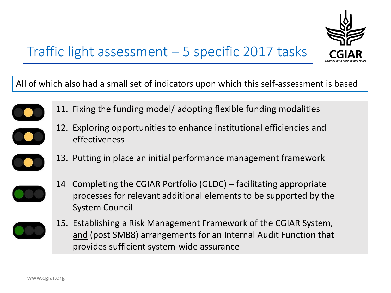

### Traffic light assessment – 5 specific 2017 tasks

All of which also had a small set of indicators upon which this self-assessment is based



11. Fixing the funding model/ adopting flexible funding modalities



- 12. Exploring opportunities to enhance institutional efficiencies and effectiveness
- 13. Putting in place an initial performance management framework



14 Completing the CGIAR Portfolio (GLDC) – facilitating appropriate processes for relevant additional elements to be supported by the System Council



15. Establishing a Risk Management Framework of the CGIAR System, and (post SMB8) arrangements for an Internal Audit Function that provides sufficient system-wide assurance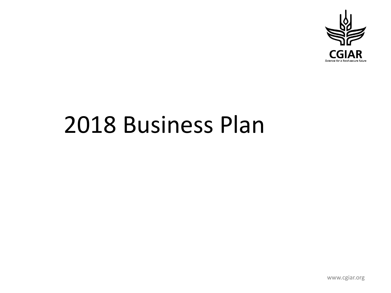

# 2018 Business Plan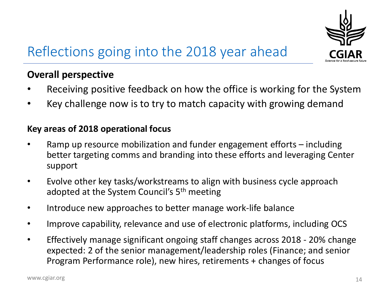

## Reflections going into the 2018 year ahead

#### **Overall perspective**

- Receiving positive feedback on how the office is working for the System
- Key challenge now is to try to match capacity with growing demand

#### **Key areas of 2018 operational focus**

- Ramp up resource mobilization and funder engagement efforts including better targeting comms and branding into these efforts and leveraging Center support
- Evolve other key tasks/workstreams to align with business cycle approach adopted at the System Council's 5<sup>th</sup> meeting
- Introduce new approaches to better manage work-life balance
- Improve capability, relevance and use of electronic platforms, including OCS
- Effectively manage significant ongoing staff changes across 2018 20% change expected: 2 of the senior management/leadership roles (Finance; and senior Program Performance role), new hires, retirements + changes of focus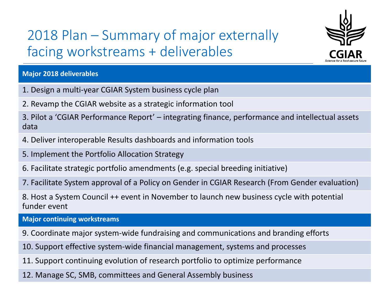## 2018 Plan – Summary of major externally facing workstreams + deliverables



15

#### **Major 2018 deliverables**

- 1. Design a multi-year CGIAR System business cycle plan
- 2. Revamp the CGIAR website as a strategic information tool

3. Pilot a 'CGIAR Performance Report' – integrating finance, performance and intellectual assets data

- 4. Deliver interoperable Results dashboards and information tools
- 5. Implement the Portfolio Allocation Strategy
- 6. Facilitate strategic portfolio amendments (e.g. special breeding initiative)
- 7. Facilitate System approval of a Policy on Gender in CGIAR Research (From Gender evaluation)

8. Host a System Council ++ event in November to launch new business cycle with potential funder event

**Major continuing workstreams**

- 9. Coordinate major system-wide fundraising and communications and branding efforts
- 10. Support effective system-wide financial management, systems and processes
- 11. Support continuing evolution of research portfolio to optimize performance
- 12. Manage SC, SMB, committees and General Assembly business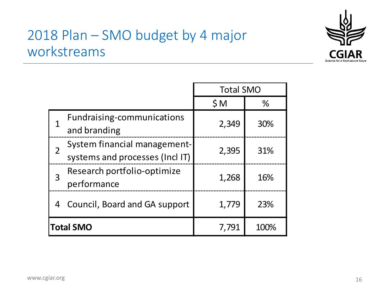### 2018 Plan – SMO budget by 4 major workstreams



|                  |                                                                 | <b>Total SMO</b> |      |
|------------------|-----------------------------------------------------------------|------------------|------|
|                  |                                                                 | SM               | $\%$ |
|                  | Fundraising-communications<br>and branding                      | 2,349            | 30%  |
|                  | System financial management-<br>systems and processes (Incl IT) | 2,395            | 31%  |
| 3                | Research portfolio-optimize<br>performance                      | 1,268            | 16%  |
| 4                | Council, Board and GA support                                   | 1,779            | 23%  |
| <b>Total SMO</b> |                                                                 | 7,791            | 100% |